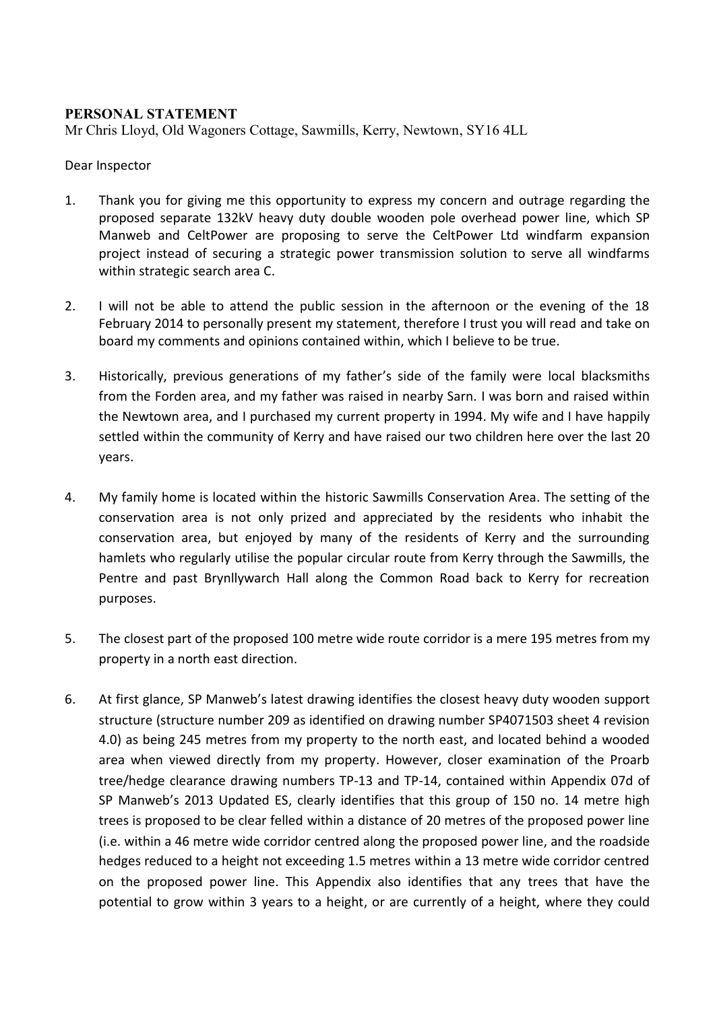## **PERSONAL STATEMENT**

Mr Chris Lloyd, Old Wagoners Cottage, Sawmills, Kerry, Newtown, SY16 4LL

## Dear Inspector

- 1. Thank you for giving me this opportunity to express my concern and outrage regarding the proposed separate 132kV heavy duty double wooden pole overhead power line, which SP Manweb and CeltPower are proposing to serve the CeltPower Ltd windfarm expansion project instead of securing a strategic power transmission solution to serve all windfarms within strategic search area C.
- 2. I will not be able to attend the public session in the afternoon or the evening of the 18 February 2014 to personally present my statement, therefore I trust you will read and take on board my comments and opinions contained within, which I believe to be true.
- 3. Historically, previous generations of my father's side of the family were local blacksmiths from the Forden area, and my father was raised in nearby Sarn. I was born and raised within the Newtown area, and I purchased my current property in 1994. My wife and I have happily settled within the community of Kerry and have raised our two children here over the last 20 years.
- 4. My family home is located within the historic Sawmills Conservation Area. The setting of the conservation area is not only prized and appreciated by the residents who inhabit the conservation area, but enjoyed by many of the residents of Kerry and the surrounding hamlets who regularly utilise the popular circular route from Kerry through the Sawmills, the Pentre and past Brynllywarch Hall along the Common Road back to Kerry for recreation purposes.
- 5. The closest part of the proposed 100 metre wide route corridor is a mere 195 metres from my property in a north east direction.
- 6. At first glance, SP Manweb's latest drawing identifies the closest heavy duty wooden support structure (structure number 209 as identified on drawing number SP4071503 sheet 4 revision 4.0) as being 245 metres from my property to the north east, and located behind a wooded area when viewed directly from my property. However, closer examination of the Proarb tree/hedge clearance drawing numbers TP-13 and TP-14, contained within Appendix 07d of SP Manweb's 2013 Updated ES, clearly identifies that this group of 150 no. 14 metre high trees is proposed to be clear felled within a distance of 20 metres of the proposed power line (i.e. within a 46 metre wide corridor centred along the proposed power line, and the roadside hedges reduced to a height not exceeding 1.5 metres within a 13 metre wide corridor centred on the proposed power line. This Appendix also identifies that any trees that have the potential to grow within 3 years to a height, or are currently of a height, where they could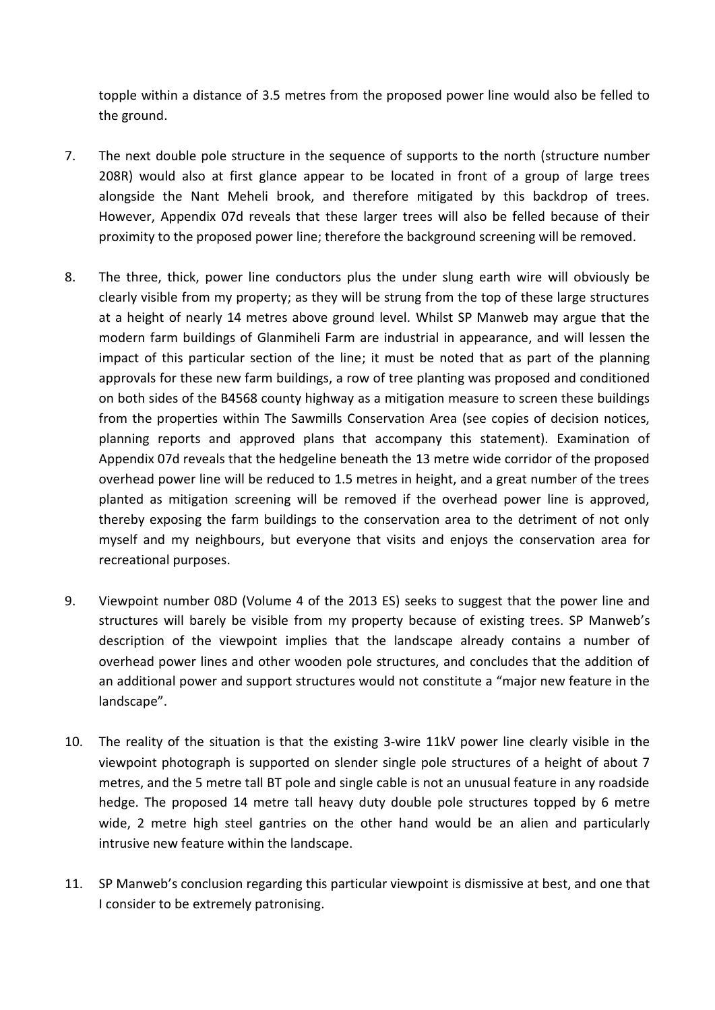topple within a distance of 3.5 metres from the proposed power line would also be felled to the ground.

- 7. The next double pole structure in the sequence of supports to the north (structure number 208R) would also at first glance appear to be located in front of a group of large trees alongside the Nant Meheli brook, and therefore mitigated by this backdrop of trees. However, Appendix 07d reveals that these larger trees will also be felled because of their proximity to the proposed power line; therefore the background screening will be removed.
- 8. The three, thick, power line conductors plus the under slung earth wire will obviously be clearly visible from my property; as they will be strung from the top of these large structures at a height of nearly 14 metres above ground level. Whilst SP Manweb may argue that the modern farm buildings of Glanmiheli Farm are industrial in appearance, and will lessen the impact of this particular section of the line; it must be noted that as part of the planning approvals for these new farm buildings, a row of tree planting was proposed and conditioned on both sides of the B4568 county highway as a mitigation measure to screen these buildings from the properties within The Sawmills Conservation Area (see copies of decision notices, planning reports and approved plans that accompany this statement). Examination of Appendix 07d reveals that the hedgeline beneath the 13 metre wide corridor of the proposed overhead power line will be reduced to 1.5 metres in height, and a great number of the trees planted as mitigation screening will be removed if the overhead power line is approved, thereby exposing the farm buildings to the conservation area to the detriment of not only myself and my neighbours, but everyone that visits and enjoys the conservation area for recreational purposes.
- 9. Viewpoint number 08D (Volume 4 of the 2013 ES) seeks to suggest that the power line and structures will barely be visible from my property because of existing trees. SP Manweb's description of the viewpoint implies that the landscape already contains a number of overhead power lines and other wooden pole structures, and concludes that the addition of an additional power and support structures would not constitute a "major new feature in the landscape".
- 10. The reality of the situation is that the existing 3-wire 11kV power line clearly visible in the viewpoint photograph is supported on slender single pole structures of a height of about 7 metres, and the 5 metre tall BT pole and single cable is not an unusual feature in any roadside hedge. The proposed 14 metre tall heavy duty double pole structures topped by 6 metre wide, 2 metre high steel gantries on the other hand would be an alien and particularly intrusive new feature within the landscape.
- 11. SP Manweb's conclusion regarding this particular viewpoint is dismissive at best, and one that I consider to be extremely patronising.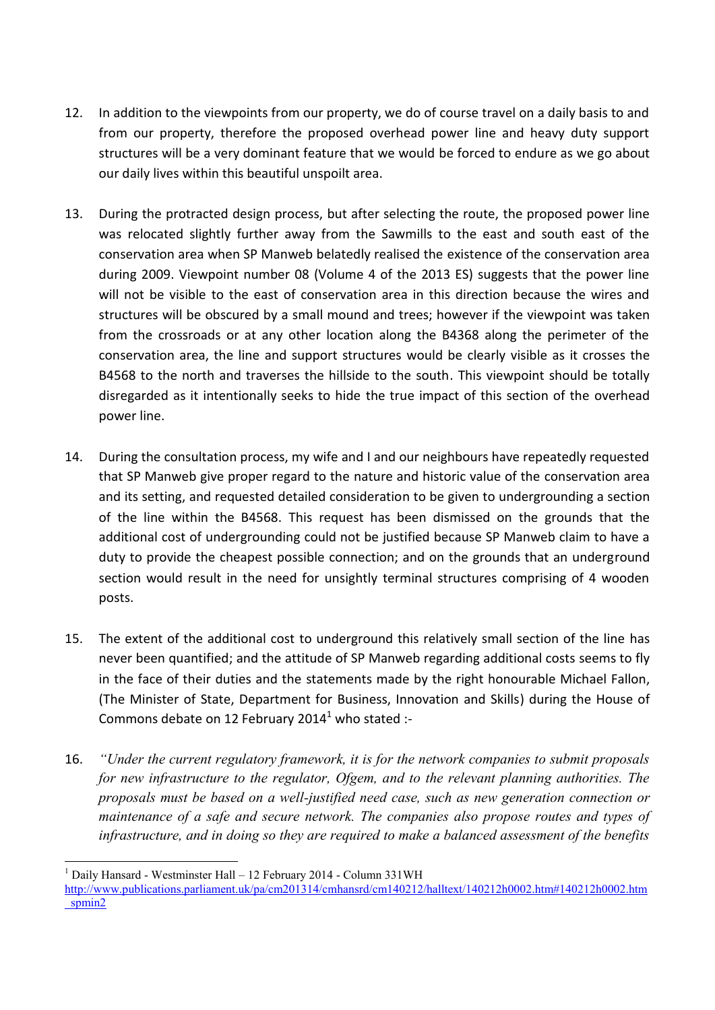- 12. In addition to the viewpoints from our property, we do of course travel on a daily basis to and from our property, therefore the proposed overhead power line and heavy duty support structures will be a very dominant feature that we would be forced to endure as we go about our daily lives within this beautiful unspoilt area.
- 13. During the protracted design process, but after selecting the route, the proposed power line was relocated slightly further away from the Sawmills to the east and south east of the conservation area when SP Manweb belatedly realised the existence of the conservation area during 2009. Viewpoint number 08 (Volume 4 of the 2013 ES) suggests that the power line will not be visible to the east of conservation area in this direction because the wires and structures will be obscured by a small mound and trees; however if the viewpoint was taken from the crossroads or at any other location along the B4368 along the perimeter of the conservation area, the line and support structures would be clearly visible as it crosses the B4568 to the north and traverses the hillside to the south. This viewpoint should be totally disregarded as it intentionally seeks to hide the true impact of this section of the overhead power line.
- 14. During the consultation process, my wife and I and our neighbours have repeatedly requested that SP Manweb give proper regard to the nature and historic value of the conservation area and its setting, and requested detailed consideration to be given to undergrounding a section of the line within the B4568. This request has been dismissed on the grounds that the additional cost of undergrounding could not be justified because SP Manweb claim to have a duty to provide the cheapest possible connection; and on the grounds that an underground section would result in the need for unsightly terminal structures comprising of 4 wooden posts.
- 15. The extent of the additional cost to underground this relatively small section of the line has never been quantified; and the attitude of SP Manweb regarding additional costs seems to fly in the face of their duties and the statements made by the right honourable Michael Fallon, (The Minister of State, Department for Business, Innovation and Skills) during the House of Commons debate on 12 February 2014 $^1$  who stated :-
- 16. *"Under the current regulatory framework, it is for the network companies to submit proposals for new infrastructure to the regulator, Ofgem, and to the relevant planning authorities. The proposals must be based on a well-justified need case, such as new generation connection or maintenance of a safe and secure network. The companies also propose routes and types of infrastructure, and in doing so they are required to make a balanced assessment of the benefits*

<sup>1</sup> Daily Hansard - Westminster Hall – 12 February 2014 - Column 331WH

http://www.publications.parliament.uk/pa/cm201314/cmhansrd/cm140212/halltext/140212h0002.htm#140212h0002.htm spmin2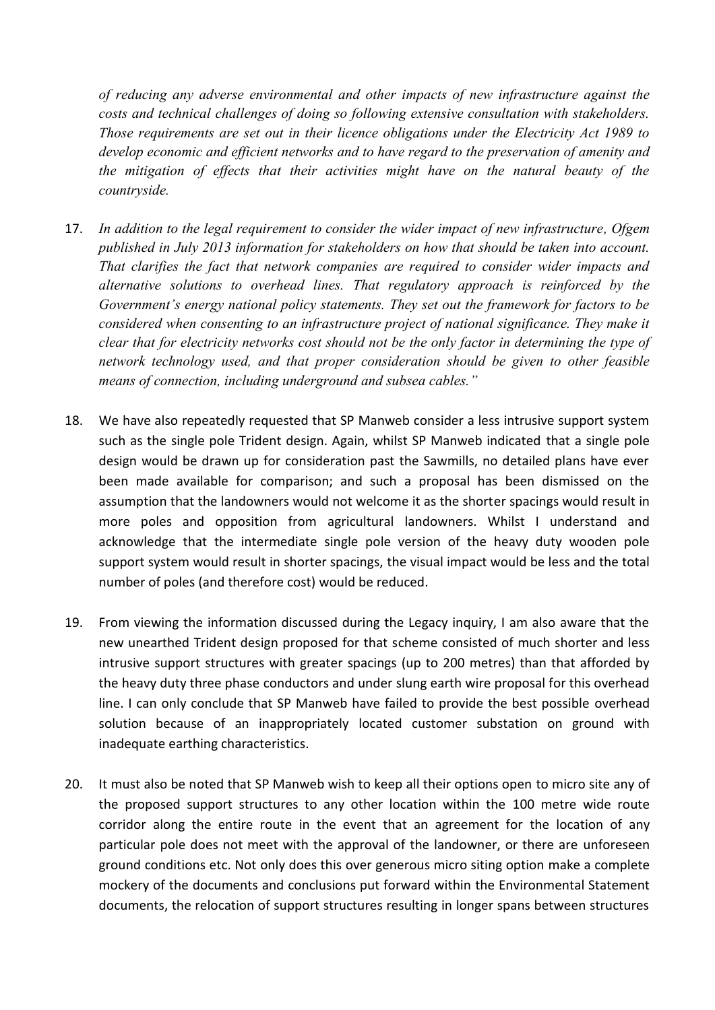*of reducing any adverse environmental and other impacts of new infrastructure against the costs and technical challenges of doing so following extensive consultation with stakeholders. Those requirements are set out in their licence obligations under the Electricity Act 1989 to develop economic and efficient networks and to have regard to the preservation of amenity and the mitigation of effects that their activities might have on the natural beauty of the countryside.*

- 17. *In addition to the legal requirement to consider the wider impact of new infrastructure, Ofgem published in July 2013 information for stakeholders on how that should be taken into account. That clarifies the fact that network companies are required to consider wider impacts and alternative solutions to overhead lines. That regulatory approach is reinforced by the Government's energy national policy statements. They set out the framework for factors to be considered when consenting to an infrastructure project of national significance. They make it clear that for electricity networks cost should not be the only factor in determining the type of network technology used, and that proper consideration should be given to other feasible means of connection, including underground and subsea cables."*
- 18. We have also repeatedly requested that SP Manweb consider a less intrusive support system such as the single pole Trident design. Again, whilst SP Manweb indicated that a single pole design would be drawn up for consideration past the Sawmills, no detailed plans have ever been made available for comparison; and such a proposal has been dismissed on the assumption that the landowners would not welcome it as the shorter spacings would result in more poles and opposition from agricultural landowners. Whilst I understand and acknowledge that the intermediate single pole version of the heavy duty wooden pole support system would result in shorter spacings, the visual impact would be less and the total number of poles (and therefore cost) would be reduced.
- 19. From viewing the information discussed during the Legacy inquiry, I am also aware that the new unearthed Trident design proposed for that scheme consisted of much shorter and less intrusive support structures with greater spacings (up to 200 metres) than that afforded by the heavy duty three phase conductors and under slung earth wire proposal for this overhead line. I can only conclude that SP Manweb have failed to provide the best possible overhead solution because of an inappropriately located customer substation on ground with inadequate earthing characteristics.
- 20. It must also be noted that SP Manweb wish to keep all their options open to micro site any of the proposed support structures to any other location within the 100 metre wide route corridor along the entire route in the event that an agreement for the location of any particular pole does not meet with the approval of the landowner, or there are unforeseen ground conditions etc. Not only does this over generous micro siting option make a complete mockery of the documents and conclusions put forward within the Environmental Statement documents, the relocation of support structures resulting in longer spans between structures